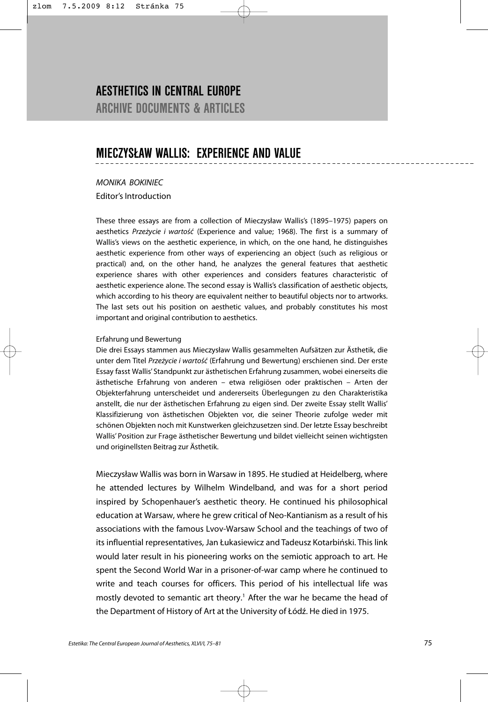# **AESTHETICS IN CENTRAL EUROPE ARCHIVE DOCUMENTS & ARTICLES**

# **MIECZYSŁAW WALLIS: EXPERIENCE AND VALUE**

*MONIKA BOKINIEC* Editor's Introduction

These three essays are from a collection of Mieczysław Wallis's (1895–1975) papers on aesthetics *Przeżycie i wartość* (Experience and value; 1968). The first is a summary of Wallis's views on the aesthetic experience, in which, on the one hand, he distinguishes aesthetic experience from other ways of experiencing an object (such as religious or practical) and, on the other hand, he analyzes the general features that aesthetic experience shares with other experiences and considers features characteristic of aesthetic experience alone. The second essay is Wallis's classification of aesthetic objects, which according to his theory are equivalent neither to beautiful objects nor to artworks. The last sets out his position on aesthetic values, and probably constitutes his most important and original contribution to aesthetics.

### Erfahrung und Bewertung

Die drei Essays stammen aus Mieczysław Wallis gesammelten Aufsätzen zur Ästhetik, die unter dem Titel *Przeżycie i wartość* (Erfahrung und Bewertung) erschienen sind. Der erste Essay fasst Wallis' Standpunkt zur ästhetischen Erfahrung zusammen, wobei einerseits die ästhetische Erfahrung von anderen – etwa religiösen oder praktischen – Arten der Objekterfahrung unterscheidet und andererseits Überlegungen zu den Charakteristika anstellt, die nur der ästhetischen Erfahrung zu eigen sind. Der zweite Essay stellt Wallis' Klassifizierung von ästhetischen Objekten vor, die seiner Theorie zufolge weder mit schönen Objekten noch mit Kunstwerken gleichzusetzen sind. Der letzte Essay beschreibt Wallis' Position zur Frage ästhetischer Bewertung und bildet vielleicht seinen wichtigsten und originellsten Beitrag zur Ästhetik.

Mieczysław Wallis was born in Warsaw in 1895. He studied at Heidelberg, where he attended lectures by Wilhelm Windelband, and was for a short period inspired by Schopenhauer's aesthetic theory. He continued his philosophical education at Warsaw, where he grew critical of Neo-Kantianism as a result of his associations with the famous Lvov-Warsaw School and the teachings of two of its influential representatives, Jan Łukasiewicz and Tadeusz Kotarbiński. This link would later result in his pioneering works on the semiotic approach to art. He spent the Second World War in a prisoner-of-war camp where he continued to write and teach courses for officers. This period of his intellectual life was mostly devoted to semantic art theory.<sup>1</sup> After the war he became the head of the Department of History of Art at the University of Łódź. He died in 1975.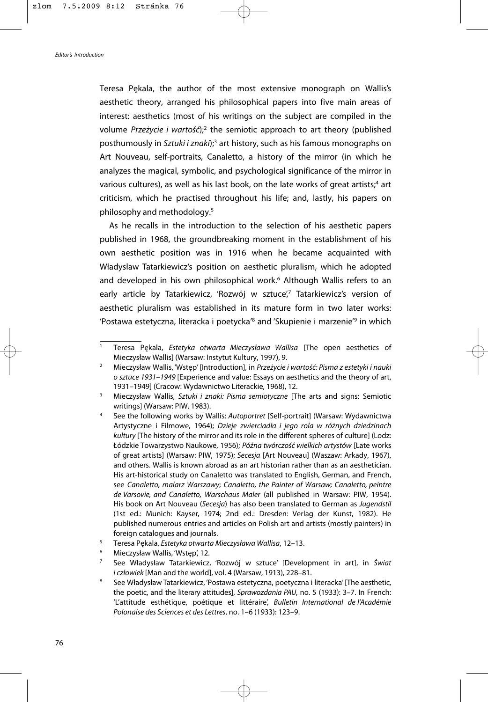Teresa Pękala, the author of the most extensive monograph on Wallis's aesthetic theory, arranged his philosophical papers into five main areas of interest: aesthetics (most of his writings on the subject are compiled in the volume *Przeżycie i wartość*);2 the semiotic approach to art theory (published posthumously in *Sztuki i znaki*);3 art history, such as his famous monographs on Art Nouveau, self-portraits, Canaletto, a history of the mirror (in which he analyzes the magical, symbolic, and psychological significance of the mirror in various cultures), as well as his last book, on the late works of great artists;<sup>4</sup> art criticism, which he practised throughout his life; and, lastly, his papers on philosophy and methodology.5

As he recalls in the introduction to the selection of his aesthetic papers published in 1968, the groundbreaking moment in the establishment of his own aesthetic position was in 1916 when he became acquainted with Władysław Tatarkiewicz's position on aesthetic pluralism, which he adopted and developed in his own philosophical work.<sup>6</sup> Although Wallis refers to an early article by Tatarkiewicz, 'Rozwój w sztuce',<sup>7</sup> Tatarkiewicz's version of aesthetic pluralism was established in its mature form in two later works: 'Postawa estetyczna, literacka i poetycka'8 and 'Skupienie i marzenie'9 in which

<sup>1</sup> Teresa Pękala, *Estetyka otwarta Mieczysława Wallisa* [The open aesthetics of Mieczysław Wallis] (Warsaw: Instytut Kultury, 1997), 9.

<sup>2</sup> Mieczysław Wallis, 'Wstęp' [Introduction], in *Przeżycie i wartość: Pisma z estetyki i nauki o sztuce 1931–1949* [Experience and value: Essays on aesthetics and the theory of art, 1931*–*1949] (Cracow: Wydawnictwo Literackie, 1968), 12.

<sup>3</sup> Mieczysław Wallis, *Sztuki i znaki: Pisma semiotyczne* [The arts and signs: Semiotic writings] (Warsaw: PIW, 1983). 4 See the following works by Wallis: *Autoportret* [Self-portrait] (Warsaw: Wydawnictwa

Artystyczne i Filmowe, 1964); *Dzieje zwierciadła i jego rola w różnych dziedzinach kultury* [The history of the mirror and its role in the different spheres of culture] (Lodz: Łódzkie Towarzystwo Naukowe, 1956); *Późna twórczość wielkich artystów* [Late works of great artists] (Warsaw: PIW, 1975); *Secesja* [Art Nouveau] (Waszaw: Arkady, 1967), and others. Wallis is known abroad as an art historian rather than as an aesthetician. His art-historical study on Canaletto was translated to English, German, and French, see *Canaletto, malarz Warszawy*; *Canaletto, the Painter of Warsaw; Canaletto, peintre de Varsovie, and Canaletto, Warschaus Maler* (all published in Warsaw: PIW, 1954). His book on Art Nouveau (*Secesja*) has also been translated to German as *Jugendstil* (1st ed.: Munich: Kayser, 1974; 2nd ed.: Dresden: Verlag der Kunst, 1982). He published numerous entries and articles on Polish art and artists (mostly painters) in foreign catalogues and journals.

<sup>5</sup> Teresa Pękala, *Estetyka otwarta Mieczysława Wallisa*, 12*–*13.

<sup>6</sup> Mieczysław Wallis, 'Wstęp', 12.

<sup>7</sup> See Władysław Tatarkiewicz, 'Rozwój w sztuce' [Development in art], in *Świat i człowiek* [Man and the world], vol. 4 (Warsaw, 1913), 228–81.

<sup>8</sup> See Władysław Tatarkiewicz, 'Postawa estetyczna, poetyczna i literacka'[The aesthetic, the poetic, and the literary attitudes], *Sprawozdania PAU*, no. 5 (1933): 3–7. In French: 'L'attitude esthétique, poétique et littéraire', *Bulletin International de l'Académie Polonaise des Sciences et des Lettres*, no. 1–6 (1933): 123–9.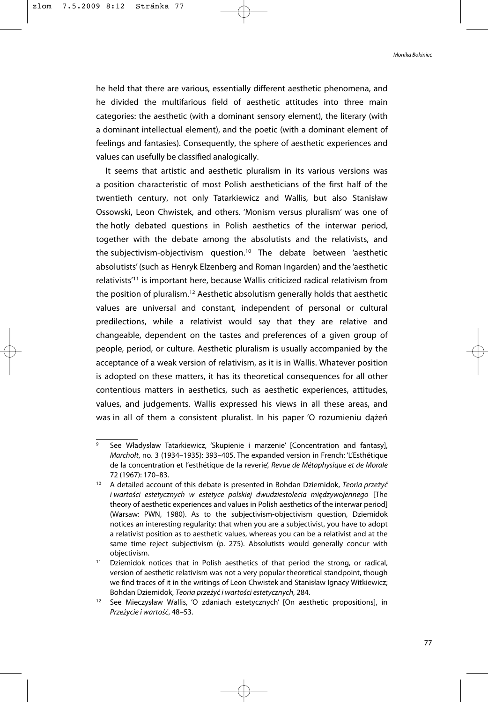*Monika Bokiniec*

he held that there are various, essentially different aesthetic phenomena, and he divided the multifarious field of aesthetic attitudes into three main categories: the aesthetic (with a dominant sensory element), the literary (with a dominant intellectual element), and the poetic (with a dominant element of feelings and fantasies). Consequently, the sphere of aesthetic experiences and values can usefully be classified analogically.

It seems that artistic and aesthetic pluralism in its various versions was a position characteristic of most Polish aestheticians of the first half of the twentieth century, not only Tatarkiewicz and Wallis, but also Stanisław Ossowski, Leon Chwistek, and others. 'Monism versus pluralism' was one of the hotly debated questions in Polish aesthetics of the interwar period, together with the debate among the absolutists and the relativists, and the subjectivism-objectivism question.10 The debate between 'aesthetic absolutists' (such as Henryk Elzenberg and Roman Ingarden) and the 'aesthetic relativists'11 is important here, because Wallis criticized radical relativism from the position of pluralism.12 Aesthetic absolutism generally holds that aesthetic values are universal and constant, independent of personal or cultural predilections, while a relativist would say that they are relative and changeable, dependent on the tastes and preferences of a given group of people, period, or culture. Aesthetic pluralism is usually accompanied by the acceptance of a weak version of relativism, as it is in Wallis. Whatever position is adopted on these matters, it has its theoretical consequences for all other contentious matters in aesthetics, such as aesthetic experiences, attitudes, values, and judgements. Wallis expressed his views in all these areas, and was in all of them a consistent pluralist. In his paper 'O rozumieniu dążeń

See Władysław Tatarkiewicz, 'Skupienie i marzenie' [Concentration and fantasy], *Marchołt*, no. 3 (1934–1935): 393–405. The expanded version in French: 'L'Esthétique de la concentration et l'esthétique de la reverie', *Revue de Métaphysique et de Morale* 72 (1967): 170–83.

<sup>10</sup> A detailed account of this debate is presented in Bohdan Dziemidok, *Teoria przeżyć i wartości estetycznych w estetyce polskiej dwudziestolecia międzywojennego* [The theory of aesthetic experiences and values in Polish aesthetics of the interwar period] (Warsaw: PWN, 1980). As to the subjectivism-objectivism question, Dziemidok notices an interesting regularity: that when you are a subjectivist, you have to adopt a relativist position as to aesthetic values, whereas you can be a relativist and at the same time reject subjectivism (p. 275). Absolutists would generally concur with objectivism.<br><sup>11</sup> Dziemidok notices that in Polish aesthetics of that period the strong, or radical,

version of aesthetic relativism was not a very popular theoretical standpoint, though we find traces of it in the writings of Leon Chwistek and Stanisław Ignacy Witkiewicz; Bohdan Dziemidok, *Teoria przeżyć i wartości estetycznych*, 284. 12 See Mieczysław Wallis, 'O zdaniach estetycznych' [On aesthetic propositions], in

*Przeżycie i wartość*, 48–53.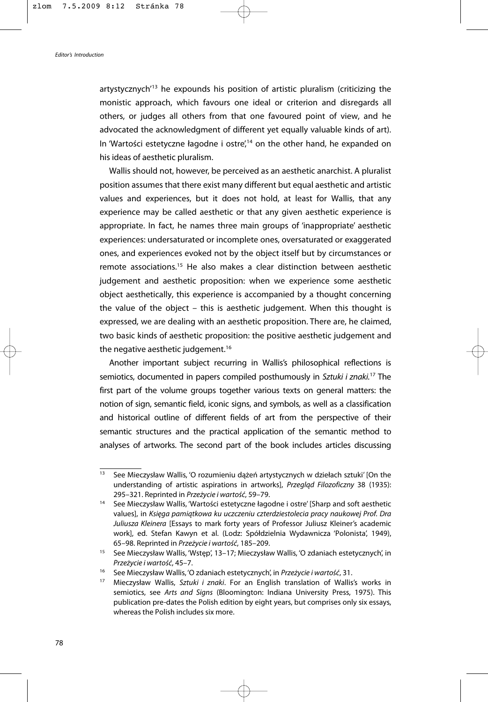artystycznych<sup>'13</sup> he expounds his position of artistic pluralism (criticizing the monistic approach, which favours one ideal or criterion and disregards all others, or judges all others from that one favoured point of view, and he advocated the acknowledgment of different yet equally valuable kinds of art). In 'Wartości estetyczne łagodne i ostre',<sup>14</sup> on the other hand, he expanded on his ideas of aesthetic pluralism.

Wallis should not, however, be perceived as an aesthetic anarchist. A pluralist position assumes that there exist many different but equal aesthetic and artistic values and experiences, but it does not hold, at least for Wallis, that any experience may be called aesthetic or that any given aesthetic experience is appropriate. In fact, he names three main groups of 'inappropriate' aesthetic experiences: undersaturated or incomplete ones, oversaturated or exaggerated ones, and experiences evoked not by the object itself but by circumstances or remote associations.15 He also makes a clear distinction between aesthetic judgement and aesthetic proposition: when we experience some aesthetic object aesthetically, this experience is accompanied by a thought concerning the value of the object – this is aesthetic judgement. When this thought is expressed, we are dealing with an aesthetic proposition. There are, he claimed, two basic kinds of aesthetic proposition: the positive aesthetic judgement and the negative aesthetic judgement.<sup>16</sup>

Another important subject recurring in Wallis's philosophical reflections is semiotics, documented in papers compiled posthumously in *Sztuki i znaki.*<sup>17</sup> The first part of the volume groups together various texts on general matters: the notion of sign, semantic field, iconic signs, and symbols, as well as a classification and historical outline of different fields of art from the perspective of their semantic structures and the practical application of the semantic method to analyses of artworks. The second part of the book includes articles discussing

<sup>&</sup>lt;sup>13</sup> See Mieczysław Wallis, 'O rozumieniu dążeń artystycznych w dziełach sztuki' [On the understanding of artistic aspirations in artworks], *Przegląd Filozoficzny* 38 (1935): 295–321. Reprinted in *Przeżycie i wartość*, 59–79.

<sup>14</sup> See Mieczysław Wallis, 'Wartości estetyczne łagodne i ostre' [Sharp and soft aesthetic values], in *Księga pamiątkowa ku uczczeniu czterdziestolecia pracy naukowej Prof. Dra Juliusza Kleinera* [Essays to mark forty years of Professor Juliusz Kleiner's academic work], ed. Stefan Kawyn et al. (Lodz: Spółdzielnia Wydawnicza 'Polonista', 1949), 65–98. Reprinted in *Przeżycie i wartość*, 185–209. 15 See Mieczysław Wallis, 'Wstęp', 13–17; Mieczysław Wallis, 'O zdaniach estetycznych', in

*Przeżycie i wartość*, 45–7.

<sup>16</sup> See Mieczysław Wallis, 'O zdaniach estetycznych', in *Przeżycie i wartość*, 31.

<sup>17</sup> Mieczysław Wallis, *Sztuki i znaki*. For an English translation of Wallis's works in semiotics, see *Arts and Signs* (Bloomington: Indiana University Press, 1975). This publication pre-dates the Polish edition by eight years, but comprises only six essays, whereas the Polish includes six more.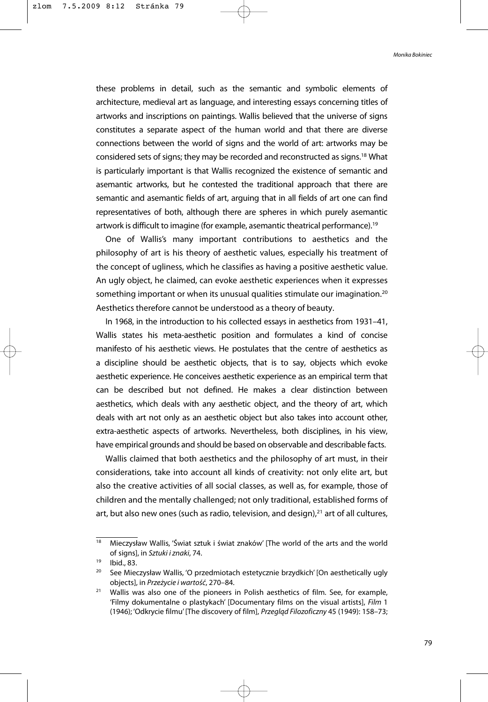these problems in detail, such as the semantic and symbolic elements of architecture, medieval art as language, and interesting essays concerning titles of artworks and inscriptions on paintings. Wallis believed that the universe of signs constitutes a separate aspect of the human world and that there are diverse connections between the world of signs and the world of art: artworks may be considered sets of signs; they may be recorded and reconstructed as signs.18 What is particularly important is that Wallis recognized the existence of semantic and asemantic artworks, but he contested the traditional approach that there are semantic and asemantic fields of art, arguing that in all fields of art one can find representatives of both, although there are spheres in which purely asemantic artwork is difficult to imagine (for example, asemantic theatrical performance).<sup>19</sup>

One of Wallis's many important contributions to aesthetics and the philosophy of art is his theory of aesthetic values, especially his treatment of the concept of ugliness, which he classifies as having a positive aesthetic value. An ugly object, he claimed, can evoke aesthetic experiences when it expresses something important or when its unusual qualities stimulate our imagination.<sup>20</sup> Aesthetics therefore cannot be understood as a theory of beauty.

In 1968, in the introduction to his collected essays in aesthetics from 1931–41, Wallis states his meta-aesthetic position and formulates a kind of concise manifesto of his aesthetic views. He postulates that the centre of aesthetics as a discipline should be aesthetic objects, that is to say, objects which evoke aesthetic experience. He conceives aesthetic experience as an empirical term that can be described but not defined. He makes a clear distinction between aesthetics, which deals with any aesthetic object, and the theory of art, which deals with art not only as an aesthetic object but also takes into account other, extra-aesthetic aspects of artworks. Nevertheless, both disciplines, in his view, have empirical grounds and should be based on observable and describable facts.

Wallis claimed that both aesthetics and the philosophy of art must, in their considerations, take into account all kinds of creativity: not only elite art, but also the creative activities of all social classes, as well as, for example, those of children and the mentally challenged; not only traditional, established forms of art, but also new ones (such as radio, television, and design), $21$  art of all cultures,

<sup>18</sup> Mieczysław Wallis, 'Świat sztuk i świat znaków' [The world of the arts and the world of signs], in *Sztuki i znaki*, 74.

<sup>19</sup> Ibid., 83.

<sup>&</sup>lt;sup>20</sup> See Mieczysław Wallis, 'O przedmiotach estetycznie brzydkich' [On aesthetically ugly objects], in *Przeżycie i wartość*, 270–84.

<sup>&</sup>lt;sup>21</sup> Wallis was also one of the pioneers in Polish aesthetics of film. See, for example, 'Filmy dokumentalne o plastykach' [Documentary films on the visual artists], *Film* 1 (1946); 'Odkrycie filmu' [The discovery of film], *Przegląd Filozoficzny* 45 (1949): 158–73;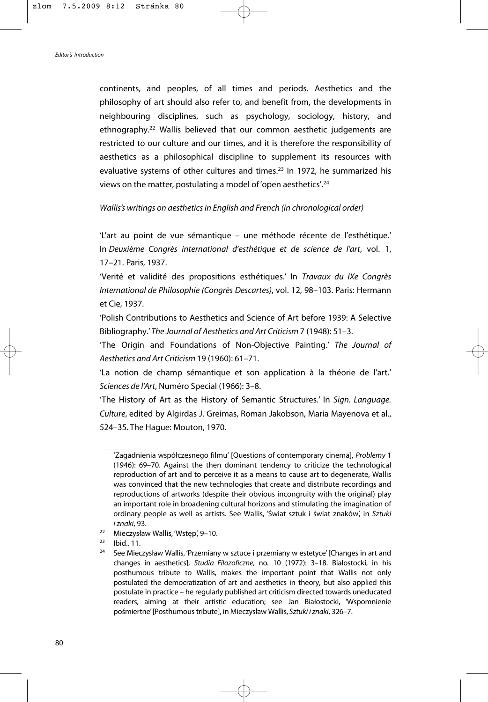continents, and peoples, of all times and periods. Aesthetics and the philosophy of art should also refer to, and benefit from, the developments in neighbouring disciplines, such as psychology, sociology, history, and ethnography.22 Wallis believed that our common aesthetic judgements are restricted to our culture and our times, and it is therefore the responsibility of aesthetics as a philosophical discipline to supplement its resources with evaluative systems of other cultures and times.<sup>23</sup> In 1972, he summarized his views on the matter, postulating a model of 'open aesthetics'.24

### *Wallis's writings on aesthetics in English and French (in chronological order)*

'L'art au point de vue sémantique – une méthode récente de l'esthétique.' In *Deuxième Congrès international d'esthétique et de science de l'art*, vol. 1, 17–21. Paris, 1937.

'Verité et validité des propositions esthétiques.' In *Travaux du IXe Congrès International de Philosophie (Congrès Descartes)*, vol. 12, 98–103. Paris: Hermann et Cie, 1937.

'Polish Contributions to Aesthetics and Science of Art before 1939: A Selective Bibliography.' *The Journal of Aesthetics and Art Criticism* 7 (1948): 51–3.

'The Origin and Foundations of Non-Objective Painting.' *The Journal of Aesthetics and Art Criticism* 19 (1960): 61–71.

'La notion de champ sémantique et son application à la théorie de l'art.' *Sciences de l'Art*, Numéro Special (1966): 3–8.

'The History of Art as the History of Semantic Structures.' In *Sign. Language. Culture*, edited by Algirdas J. Greimas, Roman Jakobson, Maria Mayenova et al., 524–35. The Hague: Mouton, 1970.

<sup>&#</sup>x27;Zagadnienia współczesnego filmu' [Questions of contemporary cinema], *Problemy* 1 (1946): 69–70. Against the then dominant tendency to criticize the technological reproduction of art and to perceive it as a means to cause art to degenerate, Wallis was convinced that the new technologies that create and distribute recordings and reproductions of artworks (despite their obvious incongruity with the original) play an important role in broadening cultural horizons and stimulating the imagination of ordinary people as well as artists. See Wallis, 'Świat sztuk i świat znaków', in *Sztuki*

*<sup>i</sup> znaki*, 93. 22 Mieczysław Wallis, 'Wstęp', 9–10.

<sup>23</sup> Ibid., 11.

<sup>&</sup>lt;sup>24</sup> See Mieczysław Wallis, 'Przemiany w sztuce i przemiany w estetyce' [Changes in art and changes in aesthetics], *Studia Filozoficzne*, no*.* 10 (1972): 3–18. Białostocki, in his posthumous tribute to Wallis, makes the important point that Wallis not only postulated the democratization of art and aesthetics in theory, but also applied this postulate in practice – he regularly published art criticism directed towards uneducated readers, aiming at their artistic education; see Jan Białostocki, 'Wspomnienie pośmiertne'[Posthumous tribute], in Mieczysław Wallis, *Sztuki i znaki*, 326–7.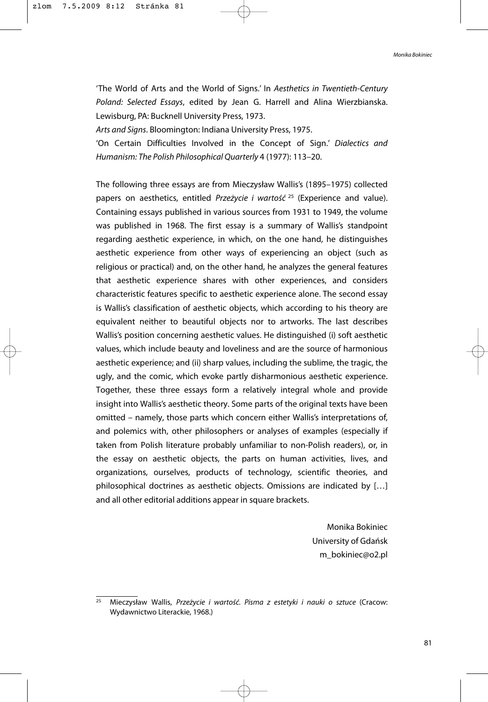*Monika Bokiniec*

'The World of Arts and the World of Signs.' In *Aesthetics in Twentieth-Century Poland: Selected Essays*, edited by Jean G. Harrell and Alina Wierzbianska. Lewisburg, PA: Bucknell University Press, 1973.

*Arts and Signs*. Bloomington: Indiana University Press, 1975.

'On Certain Difficulties Involved in the Concept of Sign.' *Dialectics and Humanism: The Polish Philosophical Quarterly* 4 (1977): 113–20.

The following three essays are from Mieczysław Wallis's (1895–1975) collected papers on aesthetics, entitled *Przeżycie i wartość* <sup>25</sup> (Experience and value). Containing essays published in various sources from 1931 to 1949, the volume was published in 1968. The first essay is a summary of Wallis's standpoint regarding aesthetic experience, in which, on the one hand, he distinguishes aesthetic experience from other ways of experiencing an object (such as religious or practical) and, on the other hand, he analyzes the general features that aesthetic experience shares with other experiences, and considers characteristic features specific to aesthetic experience alone. The second essay is Wallis's classification of aesthetic objects, which according to his theory are equivalent neither to beautiful objects nor to artworks. The last describes Wallis's position concerning aesthetic values. He distinguished (i) soft aesthetic values, which include beauty and loveliness and are the source of harmonious aesthetic experience; and (ii) sharp values, including the sublime, the tragic, the ugly, and the comic, which evoke partly disharmonious aesthetic experience. Together, these three essays form a relatively integral whole and provide insight into Wallis's aesthetic theory. Some parts of the original texts have been omitted – namely, those parts which concern either Wallis's interpretations of, and polemics with, other philosophers or analyses of examples (especially if taken from Polish literature probably unfamiliar to non-Polish readers), or, in the essay on aesthetic objects, the parts on human activities, lives, and organizations, ourselves, products of technology, scientific theories, and philosophical doctrines as aesthetic objects. Omissions are indicated by […] and all other editorial additions appear in square brackets.

> Monika Bokiniec University of Gdańsk m\_bokiniec@o2.pl

<sup>25</sup> Mieczysław Wallis, *Przeżycie i wartość. Pisma z estetyki i nauki o sztuce* (Cracow: Wydawnictwo Literackie, 1968.)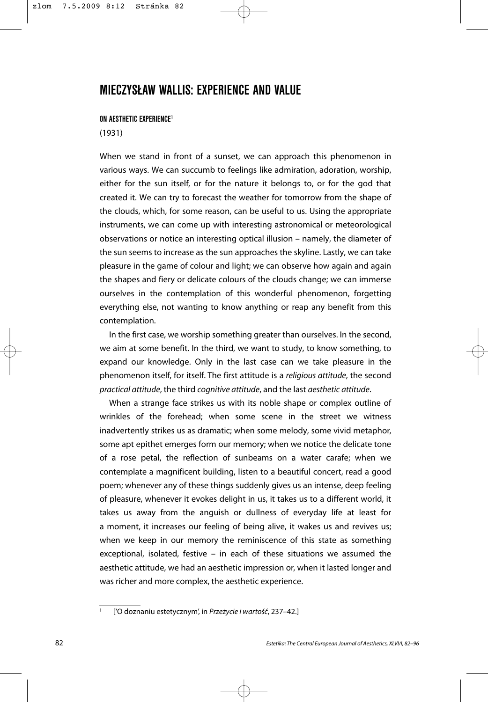# **MIECZYSŁAW WALLIS: EXPERIENCE AND VALUE**

## **ON AESTHETIC EXPERIENCE1**

## (1931)

When we stand in front of a sunset, we can approach this phenomenon in various ways. We can succumb to feelings like admiration, adoration, worship, either for the sun itself, or for the nature it belongs to, or for the god that created it. We can try to forecast the weather for tomorrow from the shape of the clouds, which, for some reason, can be useful to us. Using the appropriate instruments, we can come up with interesting astronomical or meteorological observations or notice an interesting optical illusion – namely, the diameter of the sun seems to increase as the sun approaches the skyline. Lastly, we can take pleasure in the game of colour and light; we can observe how again and again the shapes and fiery or delicate colours of the clouds change; we can immerse ourselves in the contemplation of this wonderful phenomenon, forgetting everything else, not wanting to know anything or reap any benefit from this contemplation.

In the first case, we worship something greater than ourselves. In the second, we aim at some benefit. In the third, we want to study, to know something, to expand our knowledge. Only in the last case can we take pleasure in the phenomenon itself, for itself. The first attitude is a *religious attitude*, the second *practical attitude*, the third *cognitive attitude*, and the last *aesthetic attitude*.

When a strange face strikes us with its noble shape or complex outline of wrinkles of the forehead; when some scene in the street we witness inadvertently strikes us as dramatic; when some melody, some vivid metaphor, some apt epithet emerges form our memory; when we notice the delicate tone of a rose petal, the reflection of sunbeams on a water carafe; when we contemplate a magnificent building, listen to a beautiful concert, read a good poem; whenever any of these things suddenly gives us an intense, deep feeling of pleasure, whenever it evokes delight in us, it takes us to a different world, it takes us away from the anguish or dullness of everyday life at least for a moment, it increases our feeling of being alive, it wakes us and revives us; when we keep in our memory the reminiscence of this state as something exceptional, isolated, festive – in each of these situations we assumed the aesthetic attitude, we had an aesthetic impression or, when it lasted longer and was richer and more complex, the aesthetic experience.

<sup>1</sup> ['O doznaniu estetycznym', in *Przeżycie i wartość*, 237–42.]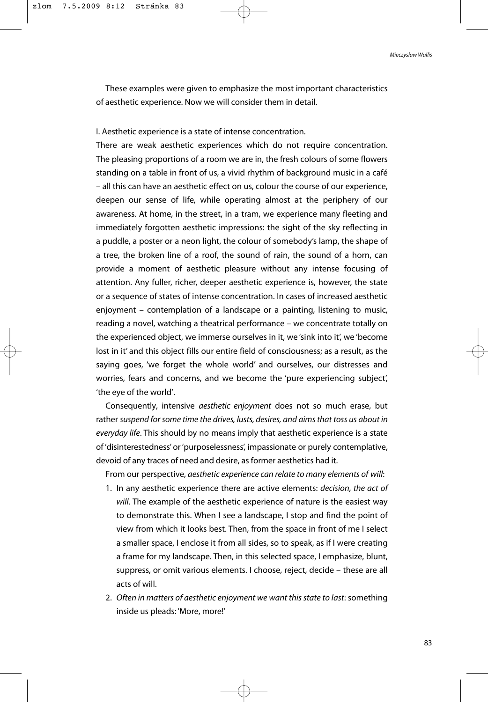These examples were given to emphasize the most important characteristics of aesthetic experience. Now we will consider them in detail.

I. Aesthetic experience is a state of intense concentration.

There are weak aesthetic experiences which do not require concentration. The pleasing proportions of a room we are in, the fresh colours of some flowers standing on a table in front of us, a vivid rhythm of background music in a café – all this can have an aesthetic effect on us, colour the course of our experience, deepen our sense of life, while operating almost at the periphery of our awareness. At home, in the street, in a tram, we experience many fleeting and immediately forgotten aesthetic impressions: the sight of the sky reflecting in a puddle, a poster or a neon light, the colour of somebody's lamp, the shape of a tree, the broken line of a roof, the sound of rain, the sound of a horn, can provide a moment of aesthetic pleasure without any intense focusing of attention. Any fuller, richer, deeper aesthetic experience is, however, the state or a sequence of states of intense concentration. In cases of increased aesthetic enjoyment – contemplation of a landscape or a painting, listening to music, reading a novel, watching a theatrical performance – we concentrate totally on the experienced object, we immerse ourselves in it, we 'sink into it', we 'become lost in it' and this object fills our entire field of consciousness; as a result, as the saying goes, 'we forget the whole world' and ourselves, our distresses and worries, fears and concerns, and we become the 'pure experiencing subject', 'the eye of the world'.

Consequently, intensive *aesthetic enjoyment* does not so much erase, but rather *suspend for some time the drives, lusts, desires, and aims that toss us about in everyday life*. This should by no means imply that aesthetic experience is a state of 'disinterestedness' or 'purposelessness', impassionate or purely contemplative, devoid of any traces of need and desire, as former aesthetics had it.

From our perspective, *aesthetic experience can relate to many elements of will*:

- 1. In any aesthetic experience there are active elements: *decision, the act of will*. The example of the aesthetic experience of nature is the easiest way to demonstrate this. When I see a landscape, I stop and find the point of view from which it looks best. Then, from the space in front of me I select a smaller space, I enclose it from all sides, so to speak, as if I were creating a frame for my landscape. Then, in this selected space, I emphasize, blunt, suppress, or omit various elements. I choose, reject, decide – these are all acts of will.
- 2. *Often in matters of aesthetic enjoyment we want this state to last*: something inside us pleads: 'More, more!'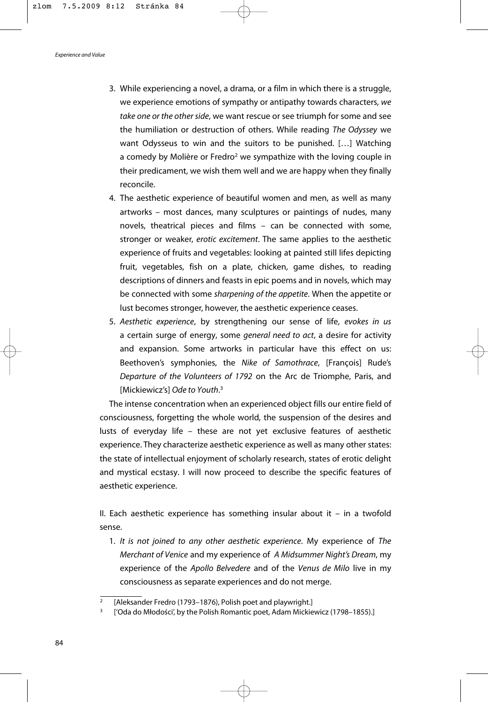- 3. While experiencing a novel, a drama, or a film in which there is a struggle, we experience emotions of sympathy or antipathy towards characters, *we take one or the other side*, we want rescue or see triumph for some and see the humiliation or destruction of others. While reading *The Odyssey* we want Odysseus to win and the suitors to be punished. […] Watching a comedy by Molière or Fredro<sup>2</sup> we sympathize with the loving couple in their predicament, we wish them well and we are happy when they finally reconcile.
- 4. The aesthetic experience of beautiful women and men, as well as many artworks – most dances, many sculptures or paintings of nudes, many novels, theatrical pieces and films – can be connected with some, stronger or weaker, *erotic excitement*. The same applies to the aesthetic experience of fruits and vegetables: looking at painted still lifes depicting fruit, vegetables, fish on a plate, chicken, game dishes, to reading descriptions of dinners and feasts in epic poems and in novels, which may be connected with some *sharpening of the appetite*. When the appetite or lust becomes stronger, however, the aesthetic experience ceases.
- 5. *Aesthetic experience*, by strengthening our sense of life, *evokes in us* a certain surge of energy, some *general need to act*, a desire for activity and expansion. Some artworks in particular have this effect on us: Beethoven's symphonies, the *Nike of Samothrace*, [François] Rude's *Departure of the Volunteers of 1792* on the Arc de Triomphe, Paris, and [Mickiewicz's] *Ode to Youth*. 3

The intense concentration when an experienced object fills our entire field of consciousness, forgetting the whole world, the suspension of the desires and lusts of everyday life – these are not yet exclusive features of aesthetic experience. They characterize aesthetic experience as well as many other states: the state of intellectual enjoyment of scholarly research, states of erotic delight and mystical ecstasy. I will now proceed to describe the specific features of aesthetic experience.

II. Each aesthetic experience has something insular about it  $-$  in a twofold sense.

1. *It is not joined to any other aesthetic experience*. My experience of *The Merchant of Venice* and my experience of *A Midsummer Night's Dream*, my experience of the *Apollo Belvedere* and of the *Venus de Milo* live in my consciousness as separate experiences and do not merge.

<sup>[</sup>Aleksander Fredro (1793–1876), Polish poet and playwright.]<br>['Oda do Młodości', by the Polish Romantic poet, Adam Mickiewicz (1798–1855).]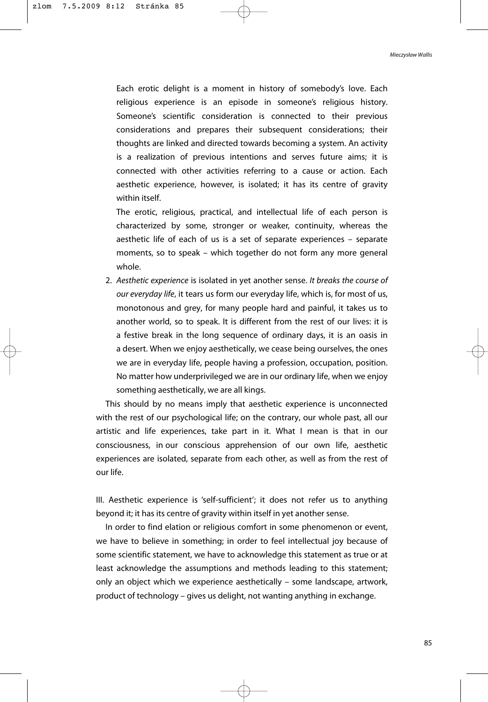Each erotic delight is a moment in history of somebody's love. Each religious experience is an episode in someone's religious history. Someone's scientific consideration is connected to their previous considerations and prepares their subsequent considerations; their thoughts are linked and directed towards becoming a system. An activity is a realization of previous intentions and serves future aims; it is connected with other activities referring to a cause or action. Each aesthetic experience, however, is isolated; it has its centre of gravity within itself.

The erotic, religious, practical, and intellectual life of each person is characterized by some, stronger or weaker, continuity, whereas the aesthetic life of each of us is a set of separate experiences – separate moments, so to speak – which together do not form any more general whole.

2. *Aesthetic experience* is isolated in yet another sense. *It breaks the course of our everyday life*, it tears us form our everyday life, which is, for most of us, monotonous and grey, for many people hard and painful, it takes us to another world, so to speak. It is different from the rest of our lives: it is a festive break in the long sequence of ordinary days, it is an oasis in a desert. When we enjoy aesthetically, we cease being ourselves, the ones we are in everyday life, people having a profession, occupation, position. No matter how underprivileged we are in our ordinary life, when we enjoy something aesthetically, we are all kings.

This should by no means imply that aesthetic experience is unconnected with the rest of our psychological life; on the contrary, our whole past, all our artistic and life experiences, take part in it. What I mean is that in our consciousness, in our conscious apprehension of our own life, aesthetic experiences are isolated, separate from each other, as well as from the rest of our life.

III. Aesthetic experience is 'self-sufficient'; it does not refer us to anything beyond it; it has its centre of gravity within itself in yet another sense.

In order to find elation or religious comfort in some phenomenon or event. we have to believe in something; in order to feel intellectual joy because of some scientific statement, we have to acknowledge this statement as true or at least acknowledge the assumptions and methods leading to this statement; only an object which we experience aesthetically – some landscape, artwork, product of technology – gives us delight, not wanting anything in exchange.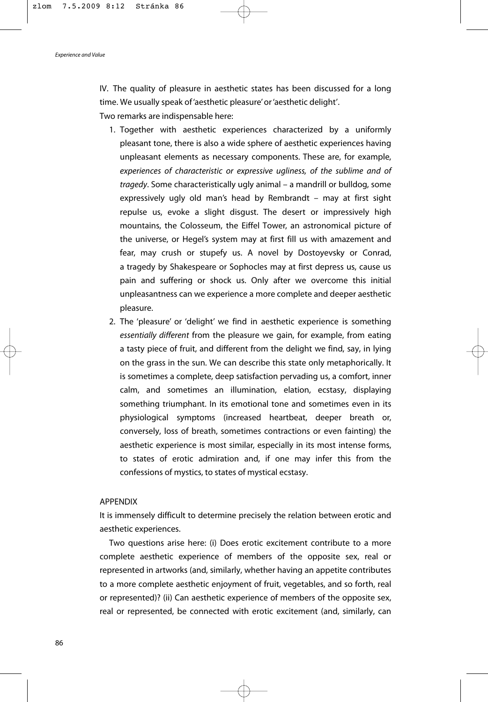*Experience and Value*

IV. The quality of pleasure in aesthetic states has been discussed for a long time. We usually speak of 'aesthetic pleasure' or 'aesthetic delight'.

Two remarks are indispensable here:

- 1. Together with aesthetic experiences characterized by a uniformly pleasant tone, there is also a wide sphere of aesthetic experiences having unpleasant elements as necessary components. These are, for example, *experiences of characteristic or expressive ugliness, of the sublime and of tragedy*. Some characteristically ugly animal – a mandrill or bulldog, some expressively ugly old man's head by Rembrandt – may at first sight repulse us, evoke a slight disgust. The desert or impressively high mountains, the Colosseum, the Eiffel Tower, an astronomical picture of the universe, or Hegel's system may at first fill us with amazement and fear, may crush or stupefy us. A novel by Dostoyevsky or Conrad, a tragedy by Shakespeare or Sophocles may at first depress us, cause us pain and suffering or shock us. Only after we overcome this initial unpleasantness can we experience a more complete and deeper aesthetic pleasure.
- 2. The 'pleasure' or 'delight' we find in aesthetic experience is something *essentially different* from the pleasure we gain, for example, from eating a tasty piece of fruit, and different from the delight we find, say, in lying on the grass in the sun. We can describe this state only metaphorically. It is sometimes a complete, deep satisfaction pervading us, a comfort, inner calm, and sometimes an illumination, elation, ecstasy, displaying something triumphant. In its emotional tone and sometimes even in its physiological symptoms (increased heartbeat, deeper breath or, conversely, loss of breath, sometimes contractions or even fainting) the aesthetic experience is most similar, especially in its most intense forms, to states of erotic admiration and, if one may infer this from the confessions of mystics, to states of mystical ecstasy.

## APPENDIX

It is immensely difficult to determine precisely the relation between erotic and aesthetic experiences.

Two questions arise here: (i) Does erotic excitement contribute to a more complete aesthetic experience of members of the opposite sex, real or represented in artworks (and, similarly, whether having an appetite contributes to a more complete aesthetic enjoyment of fruit, vegetables, and so forth, real or represented)? (ii) Can aesthetic experience of members of the opposite sex, real or represented, be connected with erotic excitement (and, similarly, can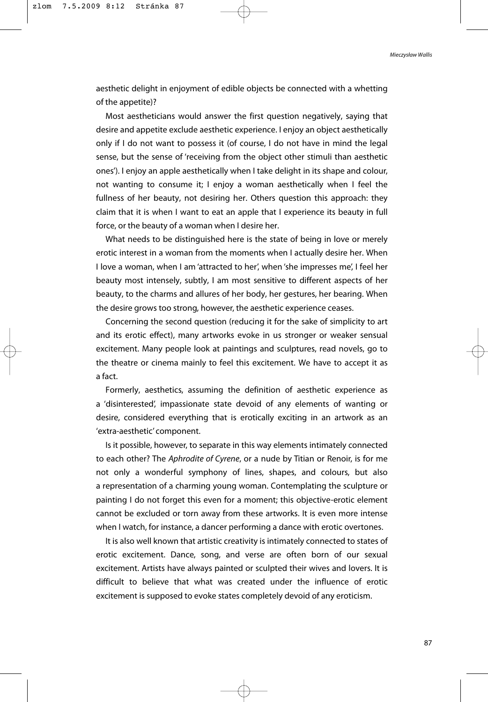aesthetic delight in enjoyment of edible objects be connected with a whetting of the appetite)?

Most aestheticians would answer the first question negatively, saying that desire and appetite exclude aesthetic experience. I enjoy an object aesthetically only if I do not want to possess it (of course, I do not have in mind the legal sense, but the sense of 'receiving from the object other stimuli than aesthetic ones'). I enjoy an apple aesthetically when I take delight in its shape and colour, not wanting to consume it; I enjoy a woman aesthetically when I feel the fullness of her beauty, not desiring her. Others question this approach: they claim that it is when I want to eat an apple that I experience its beauty in full force, or the beauty of a woman when I desire her.

What needs to be distinguished here is the state of being in love or merely erotic interest in a woman from the moments when I actually desire her. When I love a woman, when I am 'attracted to her', when 'she impresses me', I feel her beauty most intensely, subtly, I am most sensitive to different aspects of her beauty, to the charms and allures of her body, her gestures, her bearing. When the desire grows too strong, however, the aesthetic experience ceases.

Concerning the second question (reducing it for the sake of simplicity to art and its erotic effect), many artworks evoke in us stronger or weaker sensual excitement. Many people look at paintings and sculptures, read novels, go to the theatre or cinema mainly to feel this excitement. We have to accept it as a fact.

Formerly, aesthetics, assuming the definition of aesthetic experience as a 'disinterested', impassionate state devoid of any elements of wanting or desire, considered everything that is erotically exciting in an artwork as an 'extra-aesthetic' component.

Is it possible, however, to separate in this way elements intimately connected to each other? The *Aphrodite of Cyrene*, or a nude by Titian or Renoir, is for me not only a wonderful symphony of lines, shapes, and colours, but also a representation of a charming young woman. Contemplating the sculpture or painting I do not forget this even for a moment; this objective-erotic element cannot be excluded or torn away from these artworks. It is even more intense when I watch, for instance, a dancer performing a dance with erotic overtones.

It is also well known that artistic creativity is intimately connected to states of erotic excitement. Dance, song, and verse are often born of our sexual excitement. Artists have always painted or sculpted their wives and lovers. It is difficult to believe that what was created under the influence of erotic excitement is supposed to evoke states completely devoid of any eroticism.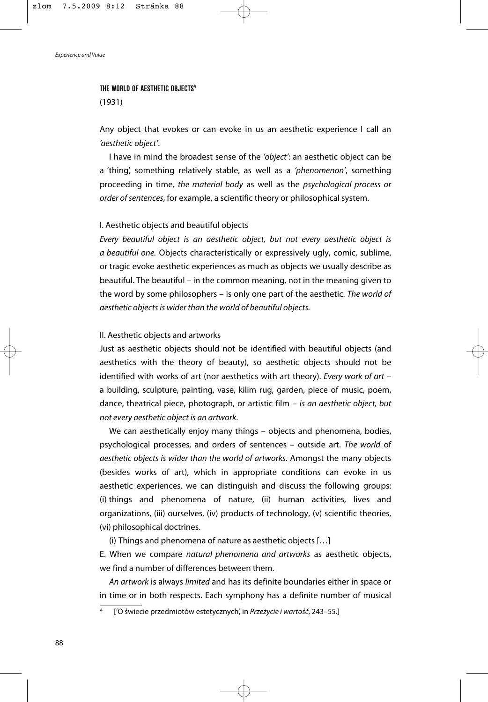#### **THE WORLD OF AESTHETIC OBJECTS4**

(1931)

Any object that evokes or can evoke in us an aesthetic experience I call an *'aesthetic object'*.

I have in mind the broadest sense of the *'object'*: an aesthetic object can be a 'thing', something relatively stable, as well as a *'phenomenon'*, something proceeding in time, *the material body* as well as the *psychological process or order of sentences*, for example, a scientific theory or philosophical system.

# I. Aesthetic objects and beautiful objects

*Every beautiful object is an aesthetic object, but not every aesthetic object is a beautiful one.* Objects characteristically or expressively ugly, comic, sublime, or tragic evoke aesthetic experiences as much as objects we usually describe as beautiful. The beautiful – in the common meaning, not in the meaning given to the word by some philosophers – is only one part of the aesthetic. *The world of aesthetic objects is wider than the world of beautiful objects.*

## II. Aesthetic objects and artworks

Just as aesthetic objects should not be identified with beautiful objects (and aesthetics with the theory of beauty), so aesthetic objects should not be identified with works of art (nor aesthetics with art theory). *Every work of art* – a building, sculpture, painting, vase, kilim rug, garden, piece of music, poem, dance, theatrical piece, photograph, or artistic film – *is an aesthetic object, but not every aesthetic object is an artwork*.

We can aesthetically enjoy many things – objects and phenomena, bodies, psychological processes, and orders of sentences – outside art. *The world* of *aesthetic objects is wider than the world of artworks*. Amongst the many objects (besides works of art), which in appropriate conditions can evoke in us aesthetic experiences, we can distinguish and discuss the following groups: (i) things and phenomena of nature, (ii) human activities, lives and organizations, (iii) ourselves, (iv) products of technology, (v) scientific theories, (vi) philosophical doctrines.

(i) Things and phenomena of nature as aesthetic objects […]

E. When we compare *natural phenomena and artworks* as aesthetic objects, we find a number of differences between them.

*An artwork* is always *limited* and has its definite boundaries either in space or in time or in both respects. Each symphony has a definite number of musical

<sup>4</sup> ['O świecie przedmiotów estetycznych', in *Przeżycie i wartość*, 243–55.]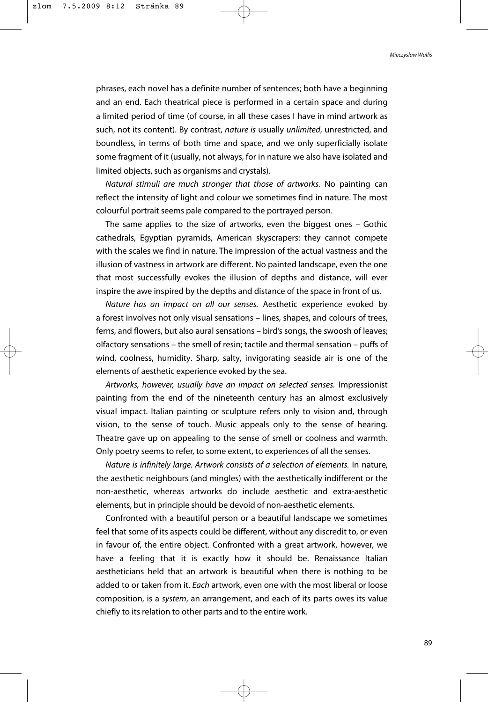phrases, each novel has a definite number of sentences; both have a beginning and an end. Each theatrical piece is performed in a certain space and during a limited period of time (of course, in all these cases I have in mind artwork as such, not its content). By contrast, *nature is* usually *unlimited*, unrestricted, and boundless, in terms of both time and space, and we only superficially isolate some fragment of it (usually, not always, for in nature we also have isolated and limited objects, such as organisms and crystals).

*Natural stimuli are much stronger that those of artworks.* No painting can reflect the intensity of light and colour we sometimes find in nature. The most colourful portrait seems pale compared to the portrayed person.

The same applies to the size of artworks, even the biggest ones – Gothic cathedrals, Egyptian pyramids, American skyscrapers: they cannot compete with the scales we find in nature. The impression of the actual vastness and the illusion of vastness in artwork are different. No painted landscape, even the one that most successfully evokes the illusion of depths and distance, will ever inspire the awe inspired by the depths and distance of the space in front of us.

*Nature has an impact on all our senses.* Aesthetic experience evoked by a forest involves not only visual sensations – lines, shapes, and colours of trees, ferns, and flowers, but also aural sensations – bird's songs, the swoosh of leaves; olfactory sensations – the smell of resin; tactile and thermal sensation – puffs of wind, coolness, humidity. Sharp, salty, invigorating seaside air is one of the elements of aesthetic experience evoked by the sea.

*Artworks, however, usually have an impact on selected senses.* Impressionist painting from the end of the nineteenth century has an almost exclusively visual impact. Italian painting or sculpture refers only to vision and, through vision, to the sense of touch. Music appeals only to the sense of hearing. Theatre gave up on appealing to the sense of smell or coolness and warmth. Only poetry seems to refer, to some extent, to experiences of all the senses.

*Nature is infinitely large. Artwork consists of a selection of elements.* In nature, the aesthetic neighbours (and mingles) with the aesthetically indifferent or the non-aesthetic, whereas artworks do include aesthetic and extra-aesthetic elements, but in principle should be devoid of non-aesthetic elements.

Confronted with a beautiful person or a beautiful landscape we sometimes feel that some of its aspects could be different, without any discredit to, or even in favour of, the entire object. Confronted with a great artwork, however, we have a feeling that it is exactly how it should be. Renaissance Italian aestheticians held that an artwork is beautiful when there is nothing to be added to or taken from it. *Each* artwork, even one with the most liberal or loose composition, is a *system*, an arrangement, and each of its parts owes its value chiefly to its relation to other parts and to the entire work.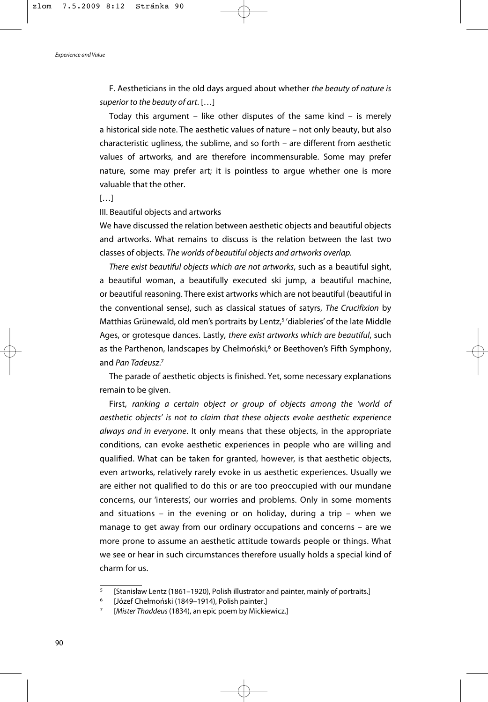F. Aestheticians in the old days argued about whether *the beauty of nature is superior to the beauty of art*. […]

Today this argument – like other disputes of the same kind – is merely a historical side note. The aesthetic values of nature – not only beauty, but also characteristic ugliness, the sublime, and so forth – are different from aesthetic values of artworks, and are therefore incommensurable. Some may prefer nature, some may prefer art; it is pointless to argue whether one is more valuable that the other.

 $[...]$ 

III. Beautiful objects and artworks

We have discussed the relation between aesthetic objects and beautiful objects and artworks. What remains to discuss is the relation between the last two classes of objects. *The worlds of beautiful objects and artworks overlap.* 

*There exist beautiful objects which are not artworks*, such as a beautiful sight, a beautiful woman, a beautifully executed ski jump, a beautiful machine, or beautiful reasoning. There exist artworks which are not beautiful (beautiful in the conventional sense), such as classical statues of satyrs, *The Crucifixion* by Matthias Grünewald, old men's portraits by Lentz,<sup>5</sup> 'diableries' of the late Middle Ages, or grotesque dances. Lastly, *there exist artworks which are beautiful*, such as the Parthenon, landscapes by Chełmoński,<sup>6</sup> or Beethoven's Fifth Symphony, and *Pan Tadeusz*. 7

The parade of aesthetic objects is finished. Yet, some necessary explanations remain to be given.

First, *ranking a certain object or group of objects among the 'world of aesthetic objects' is not to claim that these objects evoke aesthetic experience always and in everyone*. It only means that these objects, in the appropriate conditions, can evoke aesthetic experiences in people who are willing and qualified. What can be taken for granted, however, is that aesthetic objects, even artworks, relatively rarely evoke in us aesthetic experiences. Usually we are either not qualified to do this or are too preoccupied with our mundane concerns, our 'interests', our worries and problems. Only in some moments and situations – in the evening or on holiday, during a trip – when we manage to get away from our ordinary occupations and concerns – are we more prone to assume an aesthetic attitude towards people or things. What we see or hear in such circumstances therefore usually holds a special kind of charm for us.

<sup>5</sup> [Stanisław Lentz (1861–1920), Polish illustrator and painter, mainly of portraits.] 6 [Józef Chełmoński (1849–1914), Polish painter.] 7 [*Mister Thaddeus* (1834), an epic poem by Mickiewicz.]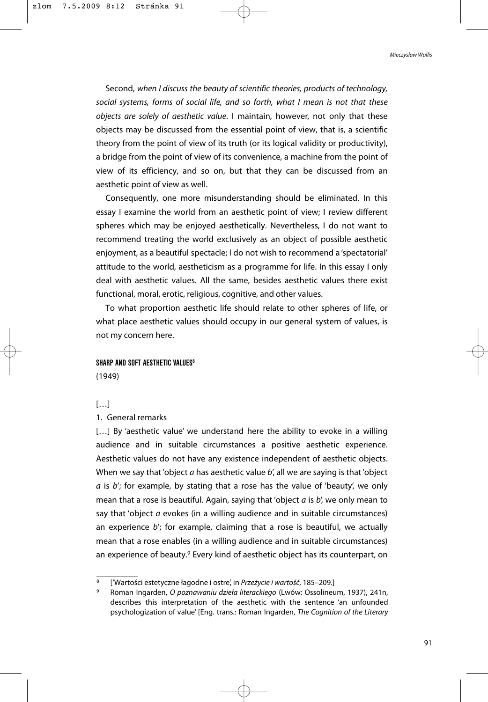Second, *when I discuss the beauty of scientific theories, products of technology, social systems, forms of social life, and so forth, what I mean is not that these objects are solely of aesthetic value*. I maintain, however, not only that these objects may be discussed from the essential point of view, that is, a scientific theory from the point of view of its truth (or its logical validity or productivity), a bridge from the point of view of its convenience, a machine from the point of view of its efficiency, and so on, but that they can be discussed from an aesthetic point of view as well.

Consequently, one more misunderstanding should be eliminated. In this essay I examine the world from an aesthetic point of view; I review different spheres which may be enjoyed aesthetically. Nevertheless, I do not want to recommend treating the world exclusively as an object of possible aesthetic enjoyment, as a beautiful spectacle; I do not wish to recommend a 'spectatorial' attitude to the world, aestheticism as a programme for life. In this essay I only deal with aesthetic values. All the same, besides aesthetic values there exist functional, moral, erotic, religious, cognitive, and other values.

To what proportion aesthetic life should relate to other spheres of life, or what place aesthetic values should occupy in our general system of values, is not my concern here.

### **SHARP AND SOFT AFSTHETIC VALUES<sup>8</sup>**

(1949)

# […]

# 1. General remarks

[...] By 'aesthetic value' we understand here the ability to evoke in a willing audience and in suitable circumstances a positive aesthetic experience. Aesthetic values do not have any existence independent of aesthetic objects. When we say that 'object *a* has aesthetic value *b*', all we are saying is that 'object *a* is *b*'; for example, by stating that a rose has the value of 'beauty', we only mean that a rose is beautiful. Again, saying that 'object *a* is *b*', we only mean to say that 'object *a* evokes (in a willing audience and in suitable circumstances) an experience *b*'; for example, claiming that a rose is beautiful, we actually mean that a rose enables (in a willing audience and in suitable circumstances) an experience of beauty.<sup>9</sup> Every kind of aesthetic object has its counterpart, on

<sup>8</sup> ['Wartości estetyczne łagodne i ostre', in *Przeżycie i wartość*, 185–209.]

<sup>9</sup> Roman Ingarden, *O poznawaniu dzieła literackiego* (Lwów: Ossolineum, 1937), 241n, describes this interpretation of the aesthetic with the sentence 'an unfounded psychologization of value' [Eng. trans.: Roman Ingarden, *The Cognition of the Literary*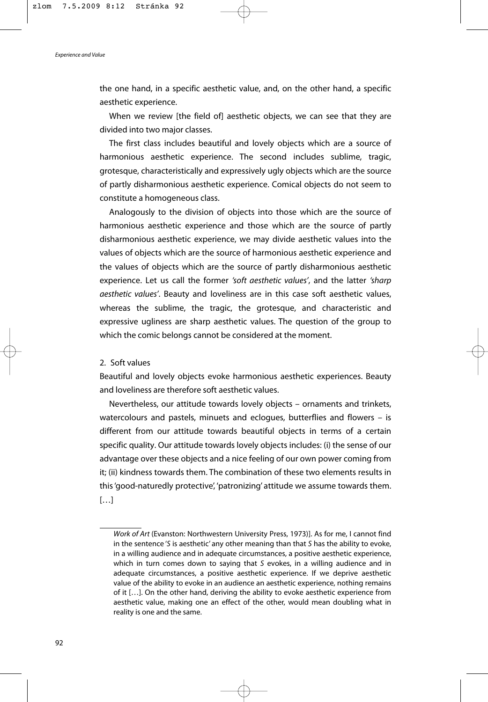the one hand, in a specific aesthetic value, and, on the other hand, a specific aesthetic experience.

When we review [the field of] aesthetic objects, we can see that they are divided into two major classes.

The first class includes beautiful and lovely objects which are a source of harmonious aesthetic experience. The second includes sublime, tragic, grotesque, characteristically and expressively ugly objects which are the source of partly disharmonious aesthetic experience. Comical objects do not seem to constitute a homogeneous class.

Analogously to the division of objects into those which are the source of harmonious aesthetic experience and those which are the source of partly disharmonious aesthetic experience, we may divide aesthetic values into the values of objects which are the source of harmonious aesthetic experience and the values of objects which are the source of partly disharmonious aesthetic experience. Let us call the former *'soft aesthetic values'*, and the latter *'sharp aesthetic values'*. Beauty and loveliness are in this case soft aesthetic values, whereas the sublime, the tragic, the grotesque, and characteristic and expressive ugliness are sharp aesthetic values. The question of the group to which the comic belongs cannot be considered at the moment.

## 2. Soft values

Beautiful and lovely objects evoke harmonious aesthetic experiences. Beauty and loveliness are therefore soft aesthetic values.

Nevertheless, our attitude towards lovely objects – ornaments and trinkets, watercolours and pastels, minuets and eclogues, butterflies and flowers – is different from our attitude towards beautiful objects in terms of a certain specific quality. Our attitude towards lovely objects includes: (i) the sense of our advantage over these objects and a nice feeling of our own power coming from it; (ii) kindness towards them. The combination of these two elements results in this 'good-naturedly protective', 'patronizing' attitude we assume towards them.  $[...]$ 

*Work of Art* (Evanston: Northwestern University Press, 1973)]. As for me, I cannot find in the sentence '*S* is aesthetic' any other meaning than that *S* has the ability to evoke, in a willing audience and in adequate circumstances, a positive aesthetic experience, which in turn comes down to saying that *S* evokes, in a willing audience and in adequate circumstances, a positive aesthetic experience. If we deprive aesthetic value of the ability to evoke in an audience an aesthetic experience, nothing remains of it […]. On the other hand, deriving the ability to evoke aesthetic experience from aesthetic value, making one an effect of the other, would mean doubling what in reality is one and the same.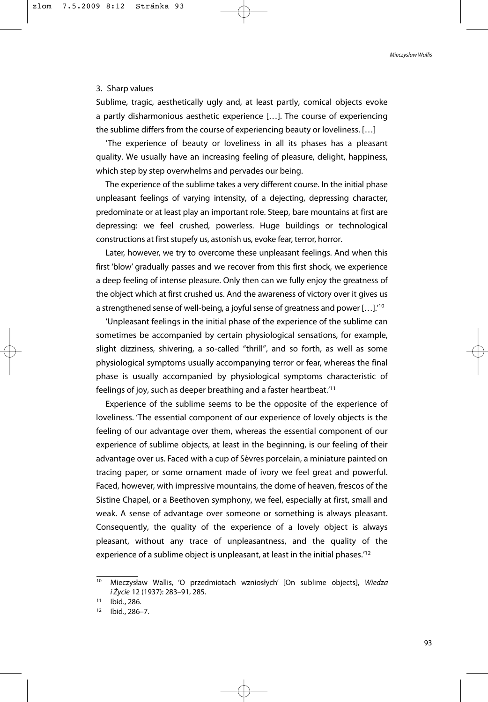## 3. Sharp values

Sublime, tragic, aesthetically ugly and, at least partly, comical objects evoke a partly disharmonious aesthetic experience […]. The course of experiencing the sublime differs from the course of experiencing beauty or loveliness. […]

'The experience of beauty or loveliness in all its phases has a pleasant quality. We usually have an increasing feeling of pleasure, delight, happiness, which step by step overwhelms and pervades our being.

The experience of the sublime takes a very different course. In the initial phase unpleasant feelings of varying intensity, of a dejecting, depressing character, predominate or at least play an important role. Steep, bare mountains at first are depressing: we feel crushed, powerless. Huge buildings or technological constructions at first stupefy us, astonish us, evoke fear, terror, horror.

Later, however, we try to overcome these unpleasant feelings. And when this first 'blow' gradually passes and we recover from this first shock, we experience a deep feeling of intense pleasure. Only then can we fully enjoy the greatness of the object which at first crushed us. And the awareness of victory over it gives us a strengthened sense of well-being, a joyful sense of greatness and power […].'10

'Unpleasant feelings in the initial phase of the experience of the sublime can sometimes be accompanied by certain physiological sensations, for example, slight dizziness, shivering, a so-called "thrill", and so forth, as well as some physiological symptoms usually accompanying terror or fear, whereas the final phase is usually accompanied by physiological symptoms characteristic of feelings of joy, such as deeper breathing and a faster heartbeat.'11

Experience of the sublime seems to be the opposite of the experience of loveliness. 'The essential component of our experience of lovely objects is the feeling of our advantage over them, whereas the essential component of our experience of sublime objects, at least in the beginning, is our feeling of their advantage over us. Faced with a cup of Sèvres porcelain, a miniature painted on tracing paper, or some ornament made of ivory we feel great and powerful. Faced, however, with impressive mountains, the dome of heaven, frescos of the Sistine Chapel, or a Beethoven symphony, we feel, especially at first, small and weak. A sense of advantage over someone or something is always pleasant. Consequently, the quality of the experience of a lovely object is always pleasant, without any trace of unpleasantness, and the quality of the experience of a sublime object is unpleasant, at least in the initial phases.'12

<sup>10</sup> Mieczysław Wallis, 'O przedmiotach wzniosłych' [On sublime objects], *Wiedza i Życie* 12 (1937): 283–91, 285.

<sup>11</sup> Ibid., 286.

<sup>12</sup> Ibid., 286–7.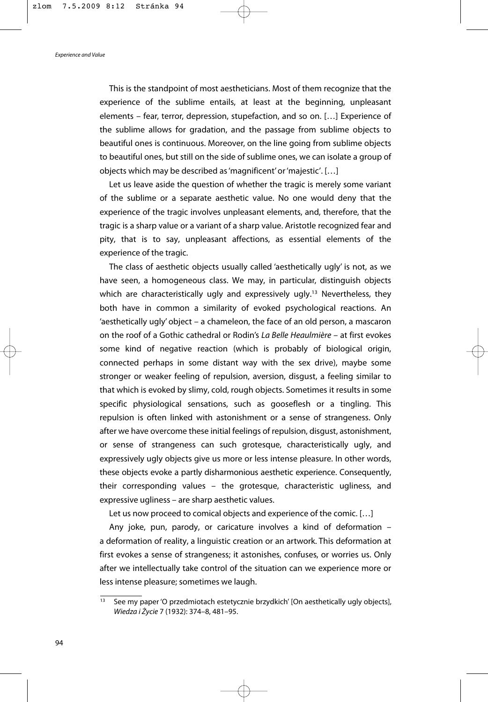This is the standpoint of most aestheticians. Most of them recognize that the experience of the sublime entails, at least at the beginning, unpleasant elements – fear, terror, depression, stupefaction, and so on. […] Experience of the sublime allows for gradation, and the passage from sublime objects to beautiful ones is continuous. Moreover, on the line going from sublime objects to beautiful ones, but still on the side of sublime ones, we can isolate a group of objects which may be described as 'magnificent' or 'majestic'. […]

Let us leave aside the question of whether the tragic is merely some variant of the sublime or a separate aesthetic value. No one would deny that the experience of the tragic involves unpleasant elements, and, therefore, that the tragic is a sharp value or a variant of a sharp value. Aristotle recognized fear and pity, that is to say, unpleasant affections, as essential elements of the experience of the tragic.

The class of aesthetic objects usually called 'aesthetically ugly' is not, as we have seen, a homogeneous class. We may, in particular, distinguish objects which are characteristically ugly and expressively ugly.<sup>13</sup> Nevertheless, they both have in common a similarity of evoked psychological reactions. An 'aesthetically ugly' object – a chameleon, the face of an old person, a mascaron on the roof of a Gothic cathedral or Rodin's *La Belle Heaulmière* – at first evokes some kind of negative reaction (which is probably of biological origin, connected perhaps in some distant way with the sex drive), maybe some stronger or weaker feeling of repulsion, aversion, disgust, a feeling similar to that which is evoked by slimy, cold, rough objects. Sometimes it results in some specific physiological sensations, such as gooseflesh or a tingling. This repulsion is often linked with astonishment or a sense of strangeness. Only after we have overcome these initial feelings of repulsion, disgust, astonishment, or sense of strangeness can such grotesque, characteristically ugly, and expressively ugly objects give us more or less intense pleasure. In other words, these objects evoke a partly disharmonious aesthetic experience. Consequently, their corresponding values – the grotesque, characteristic ugliness, and expressive ugliness – are sharp aesthetic values.

Let us now proceed to comical objects and experience of the comic. […]

Any joke, pun, parody, or caricature involves a kind of deformation – a deformation of reality, a linguistic creation or an artwork. This deformation at first evokes a sense of strangeness; it astonishes, confuses, or worries us. Only after we intellectually take control of the situation can we experience more or less intense pleasure; sometimes we laugh.

<sup>13</sup> See my paper 'O przedmiotach estetycznie brzydkich' [On aesthetically ugly objects], *Wiedza i Życie* 7 (1932): 374–8, 481–95.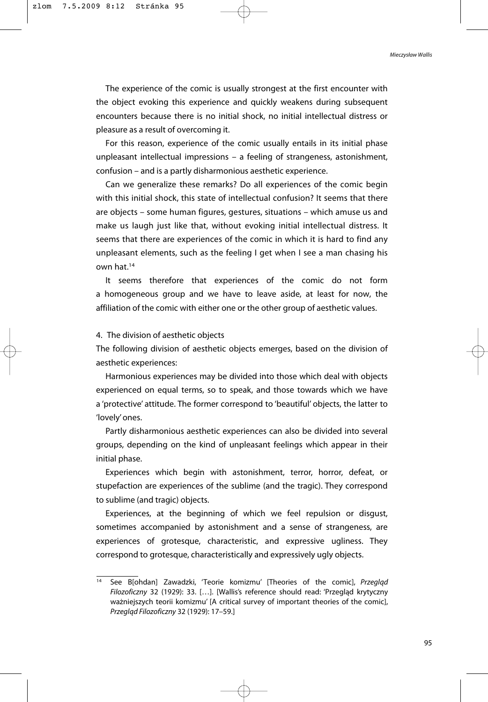The experience of the comic is usually strongest at the first encounter with the object evoking this experience and quickly weakens during subsequent encounters because there is no initial shock, no initial intellectual distress or pleasure as a result of overcoming it.

For this reason, experience of the comic usually entails in its initial phase unpleasant intellectual impressions – a feeling of strangeness, astonishment, confusion – and is a partly disharmonious aesthetic experience.

Can we generalize these remarks? Do all experiences of the comic begin with this initial shock, this state of intellectual confusion? It seems that there are objects – some human figures, gestures, situations – which amuse us and make us laugh just like that, without evoking initial intellectual distress. It seems that there are experiences of the comic in which it is hard to find any unpleasant elements, such as the feeling I get when I see a man chasing his own hat.14

It seems therefore that experiences of the comic do not form a homogeneous group and we have to leave aside, at least for now, the affiliation of the comic with either one or the other group of aesthetic values.

4. The division of aesthetic objects

The following division of aesthetic objects emerges, based on the division of aesthetic experiences:

Harmonious experiences may be divided into those which deal with objects experienced on equal terms, so to speak, and those towards which we have a 'protective' attitude. The former correspond to 'beautiful' objects, the latter to 'lovely' ones.

Partly disharmonious aesthetic experiences can also be divided into several groups, depending on the kind of unpleasant feelings which appear in their initial phase.

Experiences which begin with astonishment, terror, horror, defeat, or stupefaction are experiences of the sublime (and the tragic). They correspond to sublime (and tragic) objects.

Experiences, at the beginning of which we feel repulsion or disgust, sometimes accompanied by astonishment and a sense of strangeness, are experiences of grotesque, characteristic, and expressive ugliness. They correspond to grotesque, characteristically and expressively ugly objects.

<sup>14</sup> See B[ohdan] Zawadzki, 'Teorie komizmu' [Theories of the comic], *Przegląd Filozoficzny* 32 (1929): 33. […]. [Wallis's reference should read: 'Przegląd krytyczny ważniejszych teorii komizmu' [A critical survey of important theories of the comic], *Przegląd Filozoficzny* 32 (1929): 17–59.]